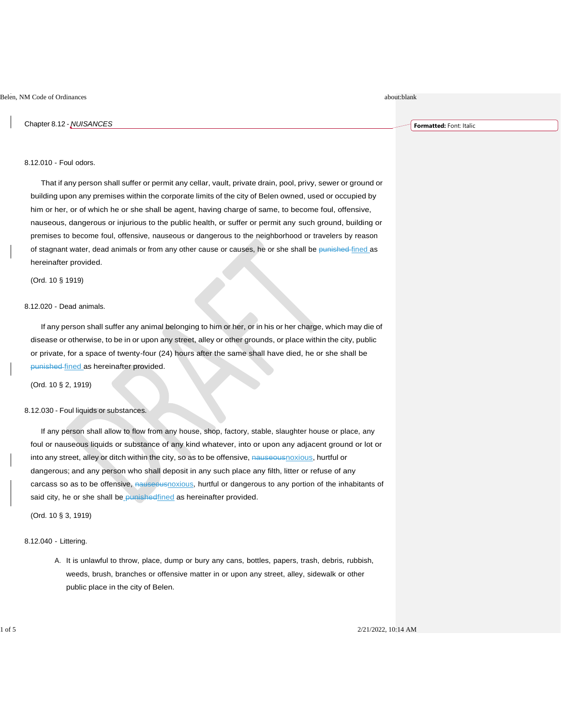Chapter 8.12 - *NUISANCES*

**Formatted:** Font: Italic

# 8.12.010 - Foul odors.

That if any person shall suffer or permit any cellar, vault, private drain, pool, privy, sewer or ground or building upon any premises within the corporate limits of the city of Belen owned, used or occupied by him or her, or of which he or she shall be agent, having charge of same, to become foul, offensive, nauseous, dangerous or injurious to the public health, or suffer or permit any such ground, building or premises to become foul, offensive, nauseous or dangerous to the neighborhood or travelers by reason of stagnant water, dead animals or from any other cause or causes, he or she shall be punished fined as hereinafter provided.

(Ord. 10 § 1919)

## 8.12.020 - Dead animals.

If any person shall suffer any animal belonging to him or her, or in his or her charge, which may die of disease or otherwise, to be in or upon any street, alley or other grounds, or place within the city, public or private, for a space of twenty-four (24) hours after the same shall have died, he or she shall be punished fined as hereinafter provided.

(Ord. 10 § 2, 1919)

## 8.12.030 - Foul liquids or substances.

If any person shall allow to flow from any house, shop, factory, stable, slaughter house or place, any foul or nauseous liquids or substance of any kind whatever, into or upon any adjacent ground or lot or into any street, alley or ditch within the city, so as to be offensive, nauseousnoxious, hurtful or dangerous; and any person who shall deposit in any such place any filth, litter or refuse of any carcass so as to be offensive, nauseousnoxious, hurtful or dangerous to any portion of the inhabitants of said city, he or she shall be punished fined as hereinafter provided.

(Ord. 10 § 3, 1919)

### 8.12.040 - Littering.

A. It is unlawful to throw, place, dump or bury any cans, bottles, papers, trash, debris, rubbish, weeds, brush, branches or offensive matter in or upon any street, alley, sidewalk or other public place in the city of Belen.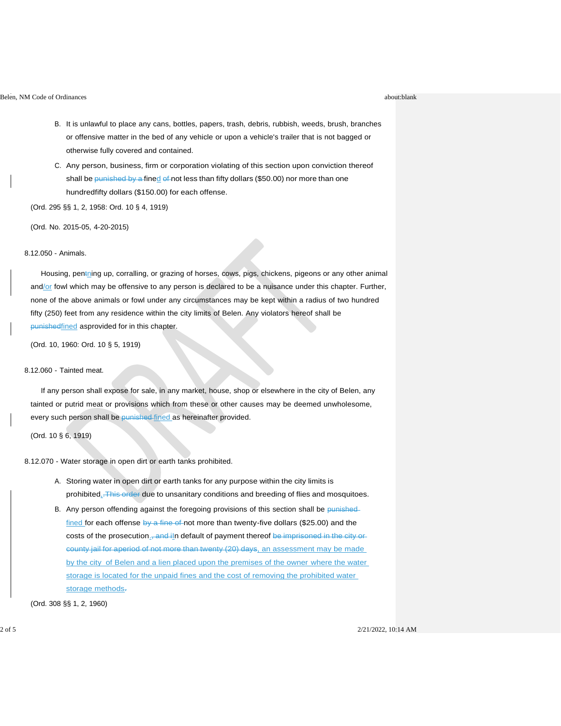- B. It is unlawful to place any cans, bottles, papers, trash, debris, rubbish, weeds, brush, branches or offensive matter in the bed of any vehicle or upon a vehicle's trailer that is not bagged or otherwise fully covered and contained.
- C. Any person, business, firm or corporation violating of this section upon conviction thereof shall be punished by a fined of not less than fifty dollars (\$50.00) nor more than one hundredfifty dollars (\$150.00) for each offense.

(Ord. 295 §§ 1, 2, 1958: Ord. 10 § 4, 1919)

(Ord. No. 2015-05, 4-20-2015)

8.12.050 - Animals.

Housing, pentning up, corralling, or grazing of horses, cows, pigs, chickens, pigeons or any other animal and/or fowl which may be offensive to any person is declared to be a nuisance under this chapter. Further, none of the above animals or fowl under any circumstances may be kept within a radius of two hundred fifty (250) feet from any residence within the city limits of Belen. Any violators hereof shall be punishedfined asprovided for in this chapter.

(Ord. 10, 1960: Ord. 10 § 5, 1919)

## 8.12.060 - Tainted meat.

If any person shall expose for sale, in any market, house, shop or elsewhere in the city of Belen, any tainted or putrid meat or provisions which from these or other causes may be deemed unwholesome, every such person shall be punished fined as hereinafter provided.

(Ord. 10 § 6, 1919)

8.12.070 - Water storage in open dirt or earth tanks prohibited.

- A. Storing water in open dirt or earth tanks for any purpose within the city limits is prohibited. This order due to unsanitary conditions and breeding of flies and mosquitoes.
- B. Any person offending against the foregoing provisions of this section shall be punishedfined for each offense by a fine of not more than twenty-five dollars (\$25.00) and the costs of the prosecution., and iln default of payment thereof be imprisoned in the city orcounty jail for aperiod of not more than twenty (20) days, an assessment may be made by the city of Belen and a lien placed upon the premises of the owner where the water storage is located for the unpaid fines and the cost of removing the prohibited water storage methods.

(Ord. 308 §§ 1, 2, 1960)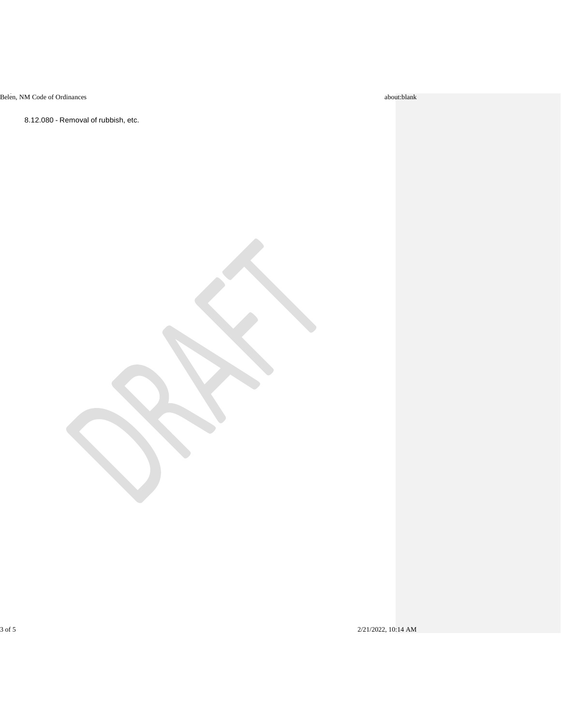8.12.080 - Removal of rubbish, etc.

3 of 5 2/21/2022, 10:14 AM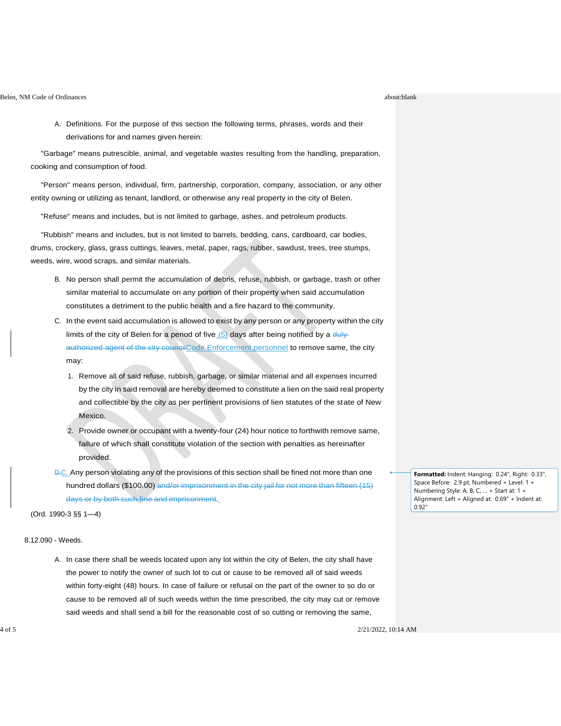A. Definitions. For the purpose of this section the following terms, phrases, words and their derivations for and names given herein:

"Garbage" means putrescible, animal, and vegetable wastes resulting from the handling, preparation, cooking and consumption of food.

"Person" means person, individual, firm, partnership, corporation, company, association, or any other entity owning or utilizing as tenant, landlord, or otherwise any real property in the city of Belen.

"Refuse" means and includes, but is not limited to garbage, ashes, and petroleum products.

"Rubbish" means and includes, but is not limited to barrels, bedding, cans, cardboard, car bodies, drums, crockery, glass, grass cuttings, leaves, metal, paper, rags, rubber, sawdust, trees, tree stumps, weeds, wire, wood scraps, and similar materials.

- B. No person shall permit the accumulation of debris, refuse, rubbish, or garbage, trash or other similar material to accumulate on any portion of their property when said accumulation constitutes a detriment to the public health and a fire hazard to the community.
- C. In the event said accumulation is allowed to exist by any person or any property within the city limits of the city of Belen for a period of five  $(5)$  days after being notified by a dulyauthorized agent of the city councilCode Enforcement personnel to remove same, the city may:
	- 1. Remove all of said refuse, rubbish, garbage, or similar material and all expenses incurred by the city in said removal are hereby deemed to constitute a lien on the said real property and collectible by the city as per pertinent provisions of lien statutes of the state of New Mexico.
	- 2. Provide owner or occupant with a twenty-four (24) hour notice to forthwith remove same, failure of which shall constitute violation of the section with penalties as hereinafter provided.
- D.C. Any person violating any of the provisions of this section shall be fined not more than one hundred dollars (\$100.00) and/or imprisonment in the city jail for not more than fifteen (15) days or by both such fine and imprisonment.

(Ord. 1990-3 §§ 1—4)

# 8.12.090 - Weeds.

A. In case there shall be weeds located upon any lot within the city of Belen, the city shall have the power to notify the owner of such lot to cut or cause to be removed all of said weeds within forty-eight (48) hours. In case of failure or refusal on the part of the owner to so do or cause to be removed all of such weeds within the time prescribed, the city may cut or remove said weeds and shall send a bill for the reasonable cost of so cutting or removing the same,

**Formatted:** Indent: Hanging: 0.24", Right: 0.33", Space Before: 2.9 pt, Numbered + Level: 1 + Numbering Style: A, B, C, … + Start at: 1 + Alignment: Left + Aligned at: 0.69" + Indent at: 0.92"

4 of 5 2/21/2022, 10:14 AM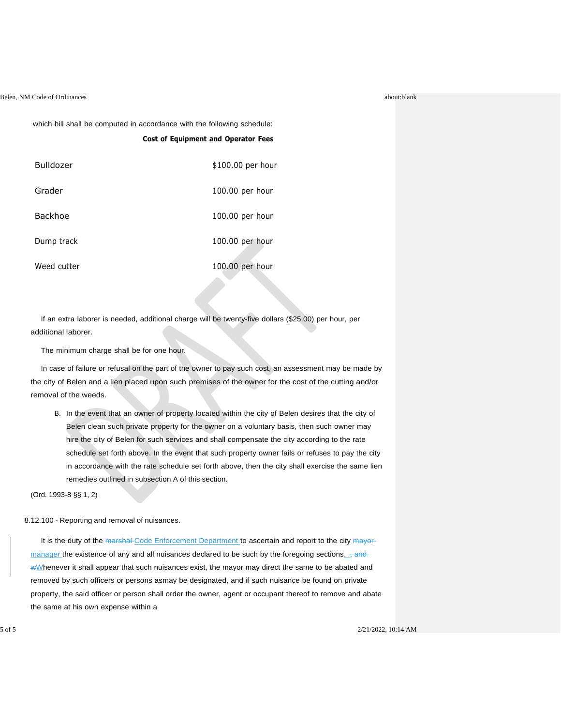which bill shall be computed in accordance with the following schedule:

|             | <b>Cost of Equipment and Operator Fees</b> |
|-------------|--------------------------------------------|
| Bulldozer   | \$100.00 per hour                          |
| Grader      | 100.00 per hour                            |
| Backhoe     | 100.00 per hour                            |
| Dump track  | $100.00$ per hour                          |
| Weed cutter | 100.00 per hour<br><b>STATE</b>            |

If an extra laborer is needed, additional charge will be twenty-five dollars (\$25.00) per hour, per additional laborer.

The minimum charge shall be for one hour.

In case of failure or refusal on the part of the owner to pay such cost, an assessment may be made by the city of Belen and a lien placed upon such premises of the owner for the cost of the cutting and/or removal of the weeds.

B. In the event that an owner of property located within the city of Belen desires that the city of Belen clean such private property for the owner on a voluntary basis, then such owner may hire the city of Belen for such services and shall compensate the city according to the rate schedule set forth above. In the event that such property owner fails or refuses to pay the city in accordance with the rate schedule set forth above, then the city shall exercise the same lien remedies outlined in subsection A of this section.

(Ord. 1993-8 §§ 1, 2)

8.12.100 - Reporting and removal of nuisances.

It is the duty of the marshal-Code Enforcement Department to ascertain and report to the city mayormanager the existence of any and all nuisances declared to be such by the foregoing sections...... and WMhenever it shall appear that such nuisances exist, the mayor may direct the same to be abated and removed by such officers or persons asmay be designated, and if such nuisance be found on private property, the said officer or person shall order the owner, agent or occupant thereof to remove and abate the same at his own expense within a

 $2/21/2022$ , 10:14 AM